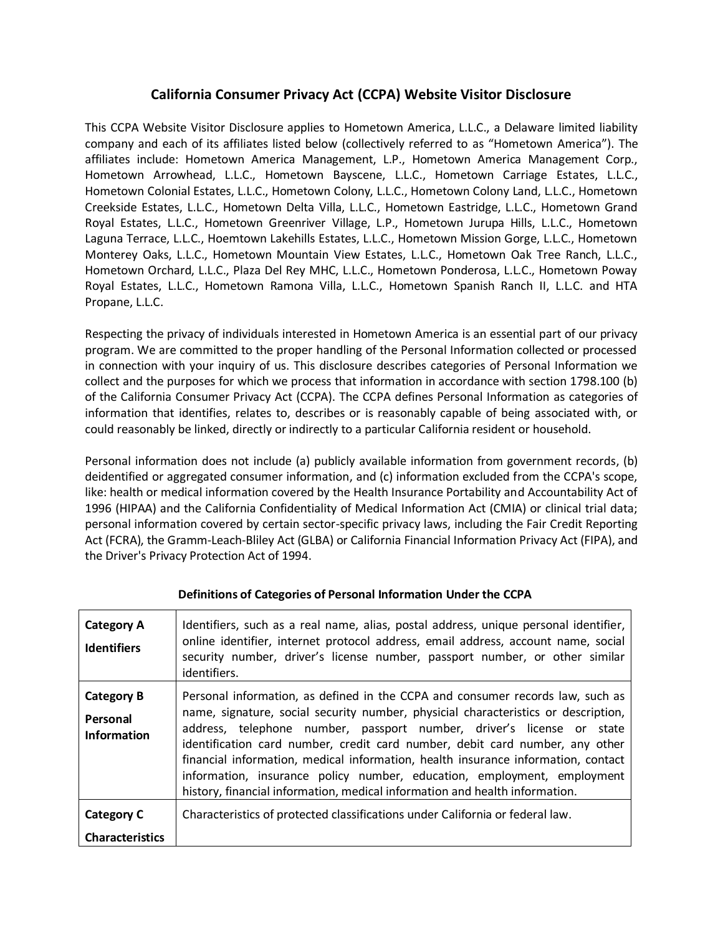# **California Consumer Privacy Act (CCPA) Website Visitor Disclosure**

This CCPA Website Visitor Disclosure applies to Hometown America, L.L.C., a Delaware limited liability company and each of its affiliates listed below (collectively referred to as "Hometown America"). The affiliates include: Hometown America Management, L.P., Hometown America Management Corp., Hometown Arrowhead, L.L.C., Hometown Bayscene, L.L.C., Hometown Carriage Estates, L.L.C., Hometown Colonial Estates, L.L.C., Hometown Colony, L.L.C., Hometown Colony Land, L.L.C., Hometown Creekside Estates, L.L.C., Hometown Delta Villa, L.L.C., Hometown Eastridge, L.L.C., Hometown Grand Royal Estates, L.L.C., Hometown Greenriver Village, L.P., Hometown Jurupa Hills, L.L.C., Hometown Laguna Terrace, L.L.C., Hoemtown Lakehills Estates, L.L.C., Hometown Mission Gorge, L.L.C., Hometown Monterey Oaks, L.L.C., Hometown Mountain View Estates, L.L.C., Hometown Oak Tree Ranch, L.L.C., Hometown Orchard, L.L.C., Plaza Del Rey MHC, L.L.C., Hometown Ponderosa, L.L.C., Hometown Poway Royal Estates, L.L.C., Hometown Ramona Villa, L.L.C., Hometown Spanish Ranch II, L.L.C. and HTA Propane, L.L.C.

Respecting the privacy of individuals interested in Hometown America is an essential part of our privacy program. We are committed to the proper handling of the Personal Information collected or processed in connection with your inquiry of us. This disclosure describes categories of Personal Information we collect and the purposes for which we process that information in accordance with section 1798.100 (b) of the California Consumer Privacy Act (CCPA). The CCPA defines Personal Information as categories of information that identifies, relates to, describes or is reasonably capable of being associated with, or could reasonably be linked, directly or indirectly to a particular California resident or household.

Personal information does not include (a) publicly available information from government records, (b) deidentified or aggregated consumer information, and (c) information excluded from the CCPA's scope, like: health or medical information covered by the Health Insurance Portability and Accountability Act of 1996 (HIPAA) and the California Confidentiality of Medical Information Act (CMIA) or clinical trial data; personal information covered by certain sector-specific privacy laws, including the Fair Credit Reporting Act (FCRA), the Gramm-Leach-Bliley Act (GLBA) or California Financial Information Privacy Act (FIPA), and the Driver's Privacy Protection Act of 1994.

| <b>Category A</b><br><b>Identifiers</b>             | Identifiers, such as a real name, alias, postal address, unique personal identifier,<br>online identifier, internet protocol address, email address, account name, social<br>security number, driver's license number, passport number, or other similar<br>identifiers.                                                                                                                                                                                                                                                                                                     |
|-----------------------------------------------------|------------------------------------------------------------------------------------------------------------------------------------------------------------------------------------------------------------------------------------------------------------------------------------------------------------------------------------------------------------------------------------------------------------------------------------------------------------------------------------------------------------------------------------------------------------------------------|
| <b>Category B</b><br>Personal<br><b>Information</b> | Personal information, as defined in the CCPA and consumer records law, such as<br>name, signature, social security number, physicial characteristics or description,<br>address, telephone number, passport number, driver's license or state<br>identification card number, credit card number, debit card number, any other<br>financial information, medical information, health insurance information, contact<br>information, insurance policy number, education, employment, employment<br>history, financial information, medical information and health information. |
| <b>Category C</b><br><b>Characteristics</b>         | Characteristics of protected classifications under California or federal law.                                                                                                                                                                                                                                                                                                                                                                                                                                                                                                |

## **Definitions of Categories of Personal Information Under the CCPA**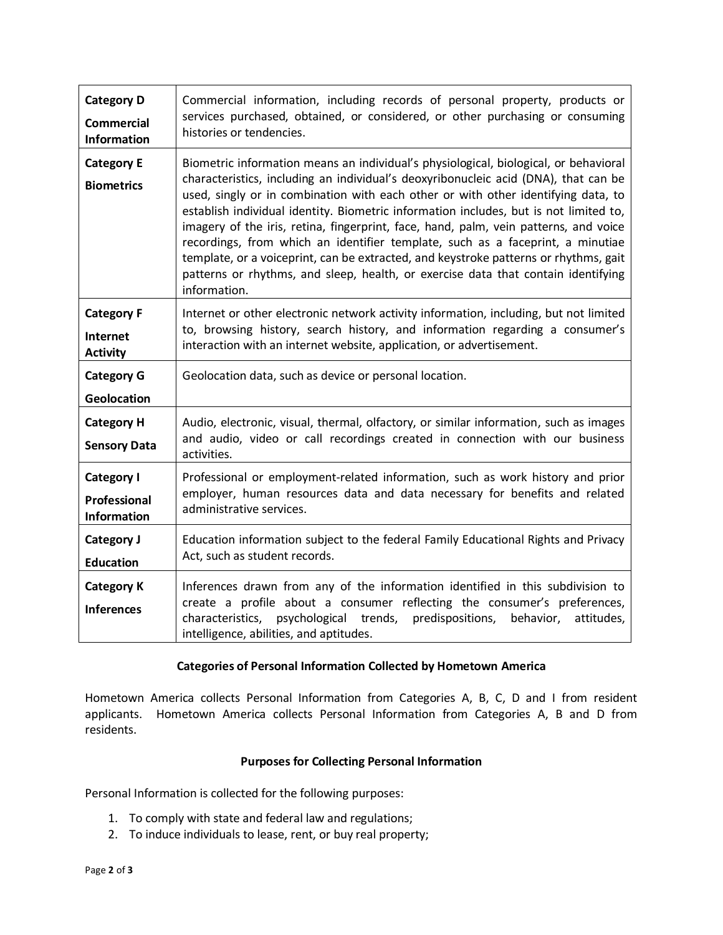| <b>Category D</b>                        | Commercial information, including records of personal property, products or                                                                                                                                                                                                                                                                                                                                                                                                                                                                                                                                                                                                                                                      |
|------------------------------------------|----------------------------------------------------------------------------------------------------------------------------------------------------------------------------------------------------------------------------------------------------------------------------------------------------------------------------------------------------------------------------------------------------------------------------------------------------------------------------------------------------------------------------------------------------------------------------------------------------------------------------------------------------------------------------------------------------------------------------------|
| <b>Commercial</b>                        | services purchased, obtained, or considered, or other purchasing or consuming                                                                                                                                                                                                                                                                                                                                                                                                                                                                                                                                                                                                                                                    |
| <b>Information</b>                       | histories or tendencies.                                                                                                                                                                                                                                                                                                                                                                                                                                                                                                                                                                                                                                                                                                         |
| <b>Category E</b><br><b>Biometrics</b>   | Biometric information means an individual's physiological, biological, or behavioral<br>characteristics, including an individual's deoxyribonucleic acid (DNA), that can be<br>used, singly or in combination with each other or with other identifying data, to<br>establish individual identity. Biometric information includes, but is not limited to,<br>imagery of the iris, retina, fingerprint, face, hand, palm, vein patterns, and voice<br>recordings, from which an identifier template, such as a faceprint, a minutiae<br>template, or a voiceprint, can be extracted, and keystroke patterns or rhythms, gait<br>patterns or rhythms, and sleep, health, or exercise data that contain identifying<br>information. |
| <b>Category F</b>                        | Internet or other electronic network activity information, including, but not limited                                                                                                                                                                                                                                                                                                                                                                                                                                                                                                                                                                                                                                            |
| Internet                                 | to, browsing history, search history, and information regarding a consumer's                                                                                                                                                                                                                                                                                                                                                                                                                                                                                                                                                                                                                                                     |
| <b>Activity</b>                          | interaction with an internet website, application, or advertisement.                                                                                                                                                                                                                                                                                                                                                                                                                                                                                                                                                                                                                                                             |
| <b>Category G</b><br><b>Geolocation</b>  | Geolocation data, such as device or personal location.                                                                                                                                                                                                                                                                                                                                                                                                                                                                                                                                                                                                                                                                           |
| <b>Category H</b><br><b>Sensory Data</b> | Audio, electronic, visual, thermal, olfactory, or similar information, such as images<br>and audio, video or call recordings created in connection with our business<br>activities.                                                                                                                                                                                                                                                                                                                                                                                                                                                                                                                                              |
| Category I                               | Professional or employment-related information, such as work history and prior                                                                                                                                                                                                                                                                                                                                                                                                                                                                                                                                                                                                                                                   |
| Professional                             | employer, human resources data and data necessary for benefits and related                                                                                                                                                                                                                                                                                                                                                                                                                                                                                                                                                                                                                                                       |
| <b>Information</b>                       | administrative services.                                                                                                                                                                                                                                                                                                                                                                                                                                                                                                                                                                                                                                                                                                         |
| Category J                               | Education information subject to the federal Family Educational Rights and Privacy                                                                                                                                                                                                                                                                                                                                                                                                                                                                                                                                                                                                                                               |
| <b>Education</b>                         | Act, such as student records.                                                                                                                                                                                                                                                                                                                                                                                                                                                                                                                                                                                                                                                                                                    |
| <b>Category K</b><br><b>Inferences</b>   | Inferences drawn from any of the information identified in this subdivision to<br>create a profile about a consumer reflecting the consumer's preferences,<br>characteristics,<br>psychological trends, predispositions,<br>behavior,<br>attitudes,<br>intelligence, abilities, and aptitudes.                                                                                                                                                                                                                                                                                                                                                                                                                                   |

### **Categories of Personal Information Collected by Hometown America**

Hometown America collects Personal Information from Categories A, B, C, D and I from resident applicants. Hometown America collects Personal Information from Categories A, B and D from residents.

### **Purposes for Collecting Personal Information**

Personal Information is collected for the following purposes:

- 1. To comply with state and federal law and regulations;
- 2. To induce individuals to lease, rent, or buy real property;